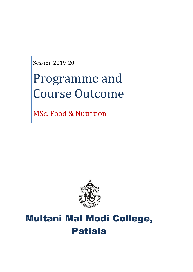Session 2019-20

# Programme and Course Outcome

MSc. Food & Nutrition



## Multani Mal Modi College, Patiala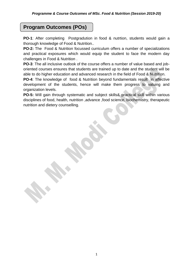## **Program Outcomes (POs)**

**PO-1**: After completing Postgradution in food & nutrtion, students would gain a thorough knowledge of Food & Nutrition..

**PO-2:** The Food & Nutrition focussed curriculum offers a number of specializations and practical exposures which would equip the student to face the modern day challenges in Food & Nutrition .

**PO-3**: The all inclusive outlook of the course offers a number of value based and joboriented courses ensures that students are trained up to date and the student will be able to do higher education and advanced research in the field of Food & Nutrition.

**PO-4:** The knowledge of food & Nutrition beyond fundamentals result in affective development of the students, hence will make them progress to valuing and organization levels.

**PO-5:** Will gain through systematic and subject skills& practical skill within various disciplines of food, health, nutrition ,advance ,food science, biochemistry, therapeutic nutrition and dietery counselling.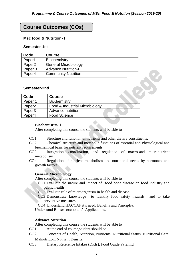## **Course Outcomes (COs)**

#### **Msc food & Nutrition- I**

#### **Semester-1st**

| <b>Course</b>               |
|-----------------------------|
| Biochemistry                |
| <b>General Microbiology</b> |
| <b>Advance Nutrition-I</b>  |
| <b>Community Nutrition</b>  |
|                             |

#### **Semester-2nd**

| Code               | <b>Course</b>                  |  |
|--------------------|--------------------------------|--|
| Paper 1            | <b>Biochemistry</b>            |  |
| Paper <sub>2</sub> | Food & Industrial Microbiology |  |
| Paper <sub>3</sub> | Advance nutrition II           |  |
| Paper4             | <b>Food Science</b>            |  |

#### **Biochemistry- 1**

After completing this course the students will be able to

- CO1 Structure and function of nutrients and other dietary constituents.
- CO2 Chemical structure and metabolic functions of essential and Physiological and biochemical basis for nutrient requirements.
- CO3 Integration, coordination, and regulation of macro-and micronutrient metabolism
- CO4 Regulation of nutrient metabolism and nutritional needs by hormones and growth factors.

#### **General Microbiology**

After completing this course the students will be able to

CO1 Evaluate the nature and impact of food bone disease on food industry and public health

CO2 Evaluate role of microorganism in health and disease.

CO3 Demonstrate knowledge to identify food safety hazards and to take preventive measures.

CO4 Understand HACCAP it's need, Benefits and Principles.

Understand Biosensors: and it's Applications.

#### **Advance Nutrition**

- CO1 At the end of course,student should be
- CO2 Concepts of Health, Nutrition, Nutrients, Nutritional Status, Nutritional Care, Malnutrition, Nutrient Density,
- CO3 Dietary Reference Intakes (DRIs); Food Guide Pyramid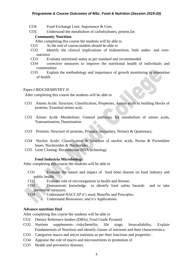#### *Programme & Course Outcomes of MSc. Food & Nutrition (Session 2019-20)*

- CO4 Food Exchange Lists: Importance & Uses.
- CO5 Understand the metabolism of carbohydrates, protein,fat.

#### **Community Nutrition**

- After completing this course the students will be able to
- CO1 At the end of course,student should be able to
- CO2 Identify the clinical implications of malnutrition, both under- and overnutrition
- CO3 Evaluate nutritional status as per standard and recommended
- CO4 corrective measures to improve the nutritional health of individuals and communities
- CO5 Explain the methodology and importance of growth monitoring in promotion of health.

#### Paper-I BIOCHEMISTRY-II

After completing this course the students will be able to

- CO1 Amino Acids: Structure, Classification, Properties, Amino acids as building blocks of proteins, Essential amino acid,
- CO2 Amino Acids Metabolism: General pathways for metabolism of amino acids, Transamination, Deamination.
- CO3 Proteins: Structure of proteins, Primary, Secondary, Tertiary & Quaternary,
- CO4 Nucleic Acids: Classification & Structure of nucleic acids, Purine & Pyrimidine bases, Nucleosides & Nucleotides.
- CO5 Gene Cloning: Recombinant DNA technology

#### **Food Industria Microbiology**

After completing this course the students will be able to

- CO1 Evaluate the nature and impact of food bone disease on food industry and public health
- CO2 Evaluate role of microorganism in health and disease.
- CO3 Demonstrate knowledge to identify food safety hazards and to take preventive measures.
- CO4 Understand HACCAP it's need, Benefits and Principles.
	- a. Understand Biosensors: and it's Applications.

#### **Advance nutrition IInd**

- CO1 Dietary Reference Intakes (DRIs); Food Guide Pyramid
- CO2 Nutrient supplements—risks/benefits, life stage, bioavailability. Explain Fundamentals of Nutrition and identify classes of nutrients and their characteristics.
- CO3 Categorize macro and micro nutrients as per their functions and properties .
- CO4 Appraise the role of macro and micronutrients in promotion of
- CO5 Health and preventive diseases.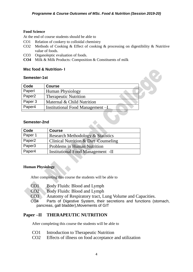#### **Food Science**

At the end of course students should be able to

- CO1 Relation of cookery to colloidal chemistry
- CO2 Methods of Cooking & Effect of cooking & processing on digestibility & Nutritive value of foods.

- CO3 Organoleptic evaluation of foods.
- **CO4** Milk & Milk Products: Composition & Constituents of milk

#### **Msc food & Nutrition- I**

#### **Semester-1st**

| Code               | <b>Course</b>                    |  |  |
|--------------------|----------------------------------|--|--|
| Paperl             | <b>Human Physiology</b>          |  |  |
| Paper <sub>2</sub> | <b>Therapeutic Nutrition</b>     |  |  |
| Paper 3            | Maternal & Child Nutrition       |  |  |
| Paper4             | Institutional Food Management -I |  |  |
|                    |                                  |  |  |

#### **Semester-2nd**

| <b>Code</b> | <b>Course</b>                                   |
|-------------|-------------------------------------------------|
| Paper 1     | <b>Research Methodology &amp; Statistics</b>    |
| Paper2      | <b>Clinical Nutrition &amp; Diet Counseling</b> |
| Paper3      | <b>Problems in Human Nutrition</b>              |
| Paper4      | <b>Institutional Food Management -II</b>        |

#### **Human Physiology**

After completing this course the students will be able to

- CO1 Body Fluids: Blood and Lymph
- CO2 Body Fluids: Blood and Lymph
- CO3 Anatomy of Respiratory tract, Lung Volume and Capacities.

CO4 Parts of Digestive System, their secretions and functions (stomach, pancreas, gall bladder),Movements of GIT

#### **Paper –II THERAPEUTIC NUTRITION**

- CO1 Introduction to Therapeutic Nutrition
- CO2 Effects of illness on food acceptance and utilization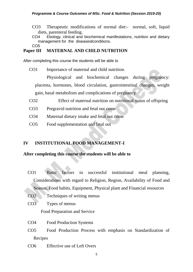CO3 Therapeutic modifications of normal diet:- normal, soft, liquid diets, parenteral feeding.

CO4 Etiology, clinical and biochemical manifestations, nutrition and dietary management for the diseases**/**conditions.

CO5

## **Paper III MATERNAL AND CHILD NUTRITION**

After completing this course the students will be able to

CO1 Importance of maternal and child nutrition.

Physiological and biochemical changes during pregnancy: placenta, hormones, blood circulation, gastrointestinal changes, weight gain, basal metabolism and complications of pregnancy.

- CO2 Effect of maternal nutrition on nutritional status of offspring
- CO3 Pregravid nutrition and fetal out come
- CO4 Maternal dietary intake and fetal out come
- CO5 Food supplementation and fetal out

## **IV INSTITUTIONAL FOOD MANAGEMENT-I**

#### **After completing this course the students will be able to**

- CO1 Basic factors in successful institutional meal planning, Considerations with regard to Religion, Region, Availability of Food and Season, Food habits, Equipment, Physical plant and Financial resources
- CO2 Techniques of writing menus
- CO3 Types of menus

Food Preparation and Service

- CO4 Food Production Systems
- CO5 Food Production Process with emphasis on Standardization of Recipes
- CO6 Effective use of Left Overs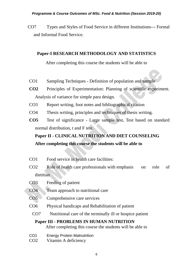CO7 Types and Styles of Food Service in different Institutions--- Formal and Informal Food Service.

## **Paper-I RESEARCH METHODOLOGY AND STATISTICS**

After completing this course the students will be able to

- CO1 Sampling Techniques Definition of population and sample
- **CO2** Principles of Experimentation: Planning of scientific experiment. Analysis of variance for simple para design.
- CO3 Report writing, foot notes and bibliographical citation
- CO4 Thesis writing, principles and techniques of thesis writing.
- **CO5** Test of significance Large sample test, Test based on standard normal distribution, t and F test.

## **Paper II - CLINICAL NUTRITION AND DIET COUNSELING After completing this course the students will be able to**

- CO1 Food service in health care facilities:
- CO2 Role of health care professionals with emphasis on role of dietitian
- CO3 Feeding of patient
- CO4 Team approach to nutritional care
- CO5 Comprehensive care services
- CO6 Physical handicaps and Rehabilitation of patient
- CO7 Nutritional care of the terminally ill or hospice patient

## **Paper III - PROBLEMS IN HUMAN NUTRITION**

- CO1 Energy Protein Malnutrition
- CO2 Vitamin A deficiency